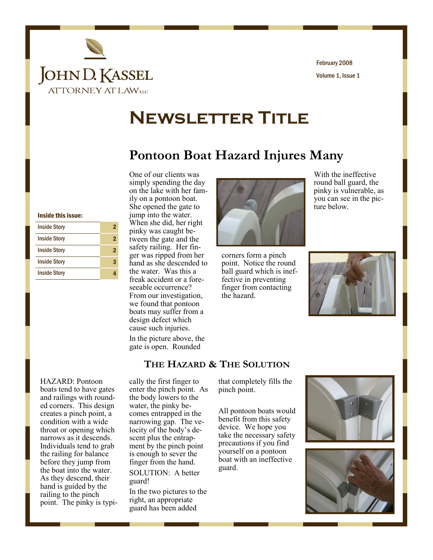

Volume 1, Issue 1 February 2008

# **Newsletter Title**

### **Pontoon Boat Hazard Injures Many**

#### Inside this issue:

| <b>Inside Story</b> |   |
|---------------------|---|
| <b>Inside Story</b> |   |
| <b>Inside Story</b> | 2 |
| <b>Inside Story</b> |   |
| <b>Inside Story</b> |   |
|                     |   |

One of our clients was simply spending the day on the lake with her family on a pontoon boat. She opened the gate to jump into the water. When she did, her right pinky was caught between the gate and the safety railing. Her finger was ripped from her hand as she descended to the water. Was this a freak accident or a foreseeable occurrence? From our investigation, we found that pontoon boats may suffer from a design defect which cause such injuries. In the picture above, the

gate is open. Rounded



corners form a pinch point. Notice the round ball guard which is ineffective in preventing finger from contacting the hazard.



With the ineffective round ball guard, the pinky is vulnerable, as you can see in the pic-

ture below.

#### **THE HAZARD & THE SOLUTION**

HAZARD: Pontoon boats tend to have gates and railings with rounded corners. This design creates a pinch point, a condition with a wide throat or opening which narrows as it descends. Individuals tend to grab the railing for balance before they jump from the boat into the water. As they descend, their hand is guided by the railing to the pinch point. The pinky is typically the first finger to enter the pinch point. As the body lowers to the water, the pinky becomes entrapped in the narrowing gap. The velocity of the body's descent plus the entrapment by the pinch point is enough to sever the finger from the hand. SOLUTION: A better guard!

In the two pictures to the right, an appropriate guard has been added

that completely fills the pinch point.

All pontoon boats would benefit from this safety device. We hope you take the necessary safety precautions if you find yourself on a pontoon boat with an ineffective guard.